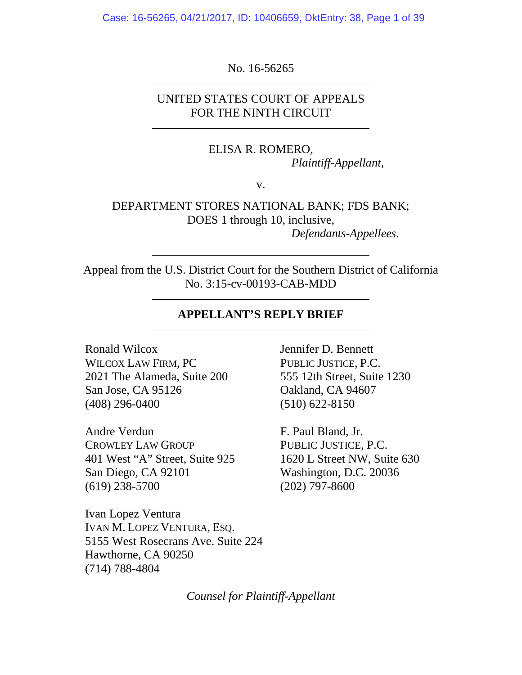Case: 16-56265, 04/21/2017, ID: 10406659, DktEntry: 38, Page 1 of 39

No. 16-56265

UNITED STATES COURT OF APPEALS FOR THE NINTH CIRCUIT

> ELISA R. ROMERO, *Plaintiff-Appellant*,

> > v.

DEPARTMENT STORES NATIONAL BANK; FDS BANK; DOES 1 through 10, inclusive, *Defendants-Appellees*.

Appeal from the U.S. District Court for the Southern District of California No. 3:15-cv-00193-CAB-MDD

# **APPELLANT'S REPLY BRIEF**

Ronald Wilcox WILCOX LAW FIRM, PC 2021 The Alameda, Suite 200 San Jose, CA 95126 (408) 296-0400

Andre Verdun CROWLEY LAW GROUP 401 West "A" Street, Suite 925 San Diego, CA 92101 (619) 238-5700

Ivan Lopez Ventura IVAN M. LOPEZ VENTURA, ESQ. 5155 West Rosecrans Ave. Suite 224 Hawthorne, CA 90250 (714) 788-4804

Jennifer D. Bennett PUBLIC JUSTICE, P.C. 555 12th Street, Suite 1230 Oakland, CA 94607 (510) 622-8150

F. Paul Bland, Jr. PUBLIC JUSTICE, P.C. 1620 L Street NW, Suite 630 Washington, D.C. 20036 (202) 797-8600

*Counsel for Plaintiff-Appellant*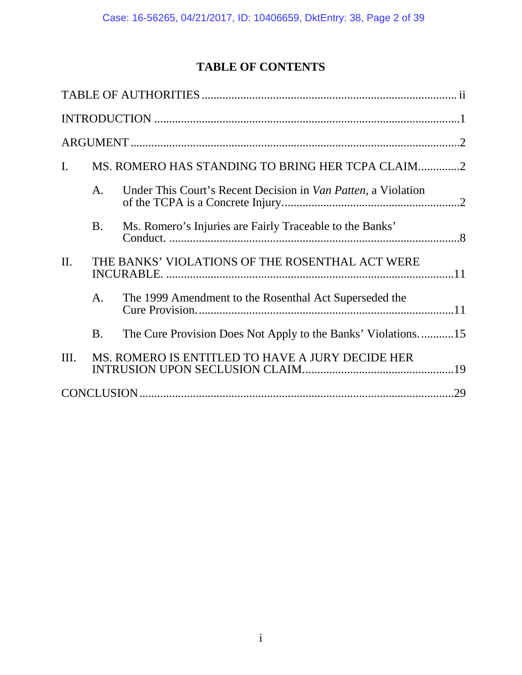# **TABLE OF CONTENTS**

| $\mathbf{I}$ . |           | MS. ROMERO HAS STANDING TO BRING HER TCPA CLAIM2              |  |  |  |  |
|----------------|-----------|---------------------------------------------------------------|--|--|--|--|
|                | A.        | Under This Court's Recent Decision in Van Patten, a Violation |  |  |  |  |
|                | <b>B.</b> | Ms. Romero's Injuries are Fairly Traceable to the Banks'      |  |  |  |  |
| II.            |           | THE BANKS' VIOLATIONS OF THE ROSENTHAL ACT WERE               |  |  |  |  |
|                | A.        | The 1999 Amendment to the Rosenthal Act Superseded the        |  |  |  |  |
|                | <b>B.</b> | The Cure Provision Does Not Apply to the Banks' Violations15  |  |  |  |  |
| Ш.             |           | MS. ROMERO IS ENTITLED TO HAVE A JURY DECIDE HER              |  |  |  |  |
|                |           |                                                               |  |  |  |  |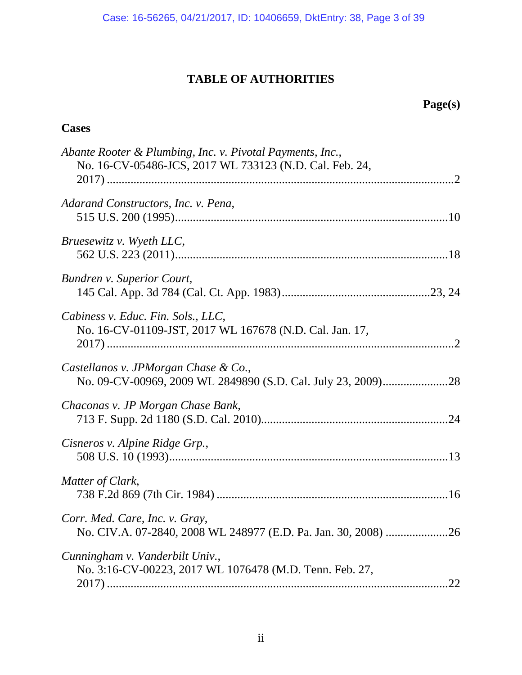# **TABLE OF AUTHORITIES**

# **Page(s)**

# <span id="page-2-0"></span>**Cases**

| Abante Rooter & Plumbing, Inc. v. Pivotal Payments, Inc.,<br>No. 16-CV-05486-JCS, 2017 WL 733123 (N.D. Cal. Feb. 24, |  |
|----------------------------------------------------------------------------------------------------------------------|--|
|                                                                                                                      |  |
| Adarand Constructors, Inc. v. Pena,                                                                                  |  |
| Bruesewitz v. Wyeth LLC,                                                                                             |  |
| Bundren v. Superior Court,                                                                                           |  |
| Cabiness v. Educ. Fin. Sols., LLC,<br>No. 16-CV-01109-JST, 2017 WL 167678 (N.D. Cal. Jan. 17,                        |  |
| Castellanos v. JPMorgan Chase & Co.,                                                                                 |  |
| Chaconas v. JP Morgan Chase Bank,                                                                                    |  |
| Cisneros v. Alpine Ridge Grp.,                                                                                       |  |
| Matter of Clark,                                                                                                     |  |
| Corr. Med. Care, Inc. v. Gray,                                                                                       |  |
| Cunningham v. Vanderbilt Univ.,<br>No. 3:16-CV-00223, 2017 WL 1076478 (M.D. Tenn. Feb. 27,<br>.22                    |  |
|                                                                                                                      |  |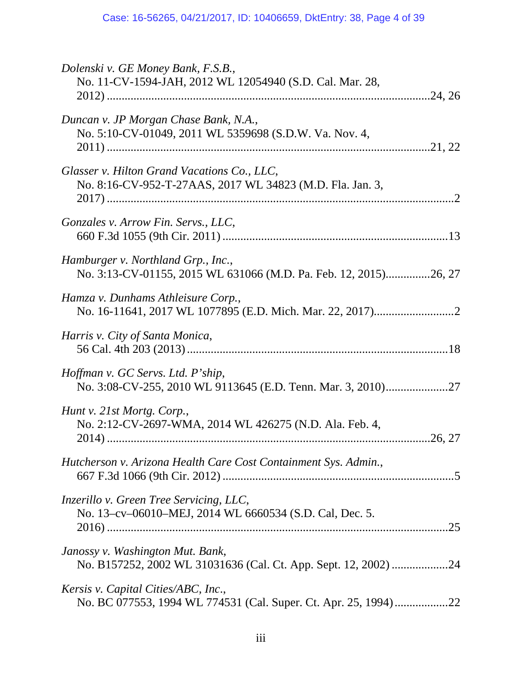| Dolenski v. GE Money Bank, F.S.B.,<br>No. 11-CV-1594-JAH, 2012 WL 12054940 (S.D. Cal. Mar. 28,           |
|----------------------------------------------------------------------------------------------------------|
| Duncan v. JP Morgan Chase Bank, N.A.,<br>No. 5:10-CV-01049, 2011 WL 5359698 (S.D.W. Va. Nov. 4,          |
| Glasser v. Hilton Grand Vacations Co., LLC,<br>No. 8:16-CV-952-T-27AAS, 2017 WL 34823 (M.D. Fla. Jan. 3, |
| Gonzales v. Arrow Fin. Servs., LLC,                                                                      |
| Hamburger v. Northland Grp., Inc.,<br>No. 3:13-CV-01155, 2015 WL 631066 (M.D. Pa. Feb. 12, 2015)26, 27   |
| Hamza v. Dunhams Athleisure Corp.,                                                                       |
| Harris v. City of Santa Monica,                                                                          |
| Hoffman v. GC Servs. Ltd. P'ship,                                                                        |
| Hunt v. 21st Mortg. Corp.,<br>No. 2:12-CV-2697-WMA, 2014 WL 426275 (N.D. Ala. Feb. 4,<br>.26, 27         |
| Hutcherson v. Arizona Health Care Cost Containment Sys. Admin.,                                          |
| Inzerillo v. Green Tree Servicing, LLC,<br>No. 13–cv–06010–MEJ, 2014 WL 6660534 (S.D. Cal, Dec. 5.       |
| Janossy v. Washington Mut. Bank,<br>No. B157252, 2002 WL 31031636 (Cal. Ct. App. Sept. 12, 2002) 24      |
| Kersis v. Capital Cities/ABC, Inc.,<br>No. BC 077553, 1994 WL 774531 (Cal. Super. Ct. Apr. 25, 1994)22   |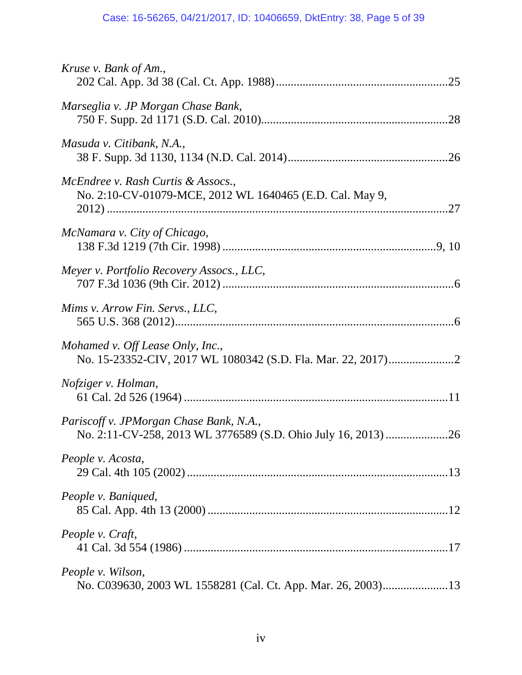| Kruse v. Bank of Am.,                                                                          |
|------------------------------------------------------------------------------------------------|
| Marseglia v. JP Morgan Chase Bank,                                                             |
| Masuda v. Citibank, N.A.,                                                                      |
| McEndree v. Rash Curtis & Assocs.,<br>No. 2:10-CV-01079-MCE, 2012 WL 1640465 (E.D. Cal. May 9, |
| McNamara v. City of Chicago,                                                                   |
| Meyer v. Portfolio Recovery Assocs., LLC,                                                      |
| Mims v. Arrow Fin. Servs., LLC,                                                                |
| Mohamed v. Off Lease Only, Inc.,                                                               |
| Nofziger v. Holman,                                                                            |
| Pariscoff v. JPMorgan Chase Bank, N.A.,                                                        |
| People v. Acosta,                                                                              |
| People v. Baniqued,                                                                            |
| People v. Craft,                                                                               |
| People v. Wilson,<br>No. C039630, 2003 WL 1558281 (Cal. Ct. App. Mar. 26, 2003)13              |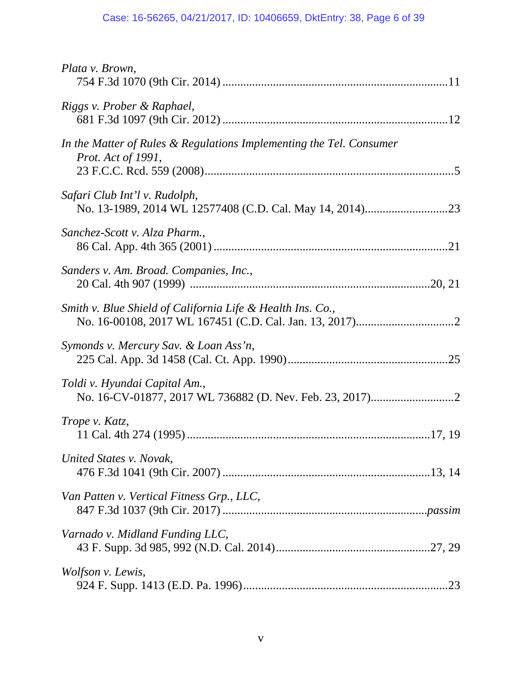| Plata v. Brown,                                                                           |
|-------------------------------------------------------------------------------------------|
| Riggs v. Prober & Raphael,                                                                |
| In the Matter of Rules & Regulations Implementing the Tel. Consumer<br>Prot. Act of 1991, |
| Safari Club Int'l v. Rudolph,                                                             |
| Sanchez-Scott v. Alza Pharm.,                                                             |
| Sanders v. Am. Broad. Companies, Inc.,                                                    |
| Smith v. Blue Shield of California Life & Health Ins. Co.,                                |
| Symonds v. Mercury Sav. & Loan Ass'n,                                                     |
| Toldi v. Hyundai Capital Am.,                                                             |
| Trope v. Katz,                                                                            |
| United States v. Novak,                                                                   |
| Van Patten v. Vertical Fitness Grp., LLC,                                                 |
| Varnado v. Midland Funding LLC,                                                           |
| Wolfson v. Lewis,                                                                         |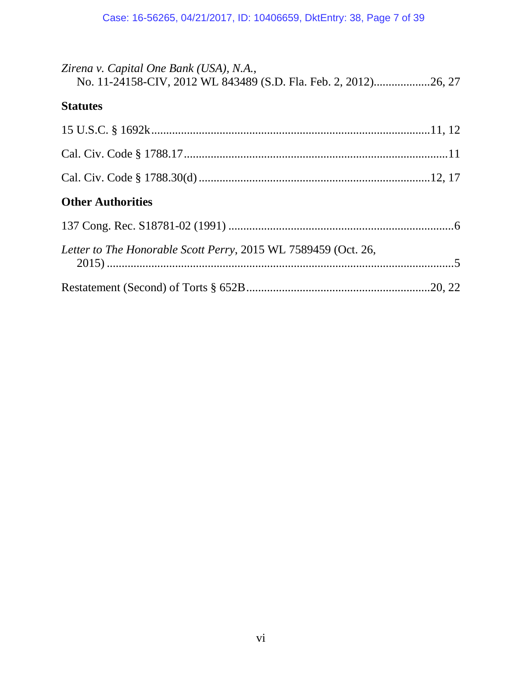| Zirena v. Capital One Bank (USA), N.A.,<br>No. 11-24158-CIV, 2012 WL 843489 (S.D. Fla. Feb. 2, 2012)26, 27 |  |
|------------------------------------------------------------------------------------------------------------|--|
| <b>Statutes</b>                                                                                            |  |
|                                                                                                            |  |
|                                                                                                            |  |
|                                                                                                            |  |
| <b>Other Authorities</b>                                                                                   |  |
|                                                                                                            |  |
| Letter to The Honorable Scott Perry, 2015 WL 7589459 (Oct. 26,                                             |  |
|                                                                                                            |  |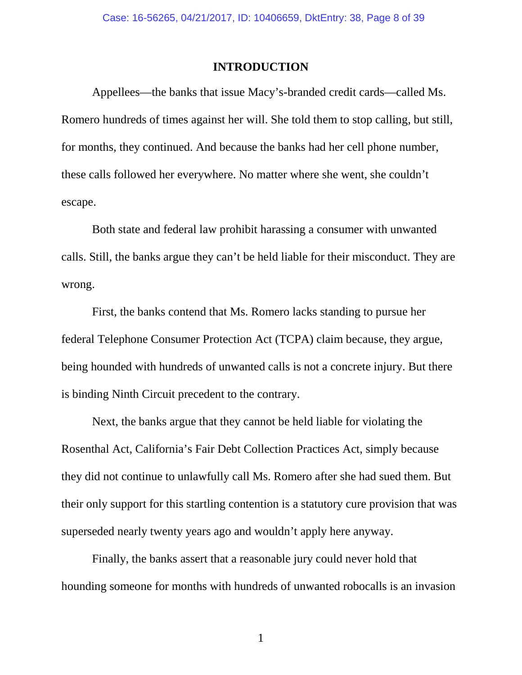### **INTRODUCTION**

<span id="page-7-0"></span>Appellees—the banks that issue Macy's-branded credit cards—called Ms. Romero hundreds of times against her will. She told them to stop calling, but still, for months, they continued. And because the banks had her cell phone number, these calls followed her everywhere. No matter where she went, she couldn't escape.

Both state and federal law prohibit harassing a consumer with unwanted calls. Still, the banks argue they can't be held liable for their misconduct. They are wrong.

First, the banks contend that Ms. Romero lacks standing to pursue her federal Telephone Consumer Protection Act (TCPA) claim because, they argue, being hounded with hundreds of unwanted calls is not a concrete injury. But there is binding Ninth Circuit precedent to the contrary.

Next, the banks argue that they cannot be held liable for violating the Rosenthal Act, California's Fair Debt Collection Practices Act, simply because they did not continue to unlawfully call Ms. Romero after she had sued them. But their only support for this startling contention is a statutory cure provision that was superseded nearly twenty years ago and wouldn't apply here anyway.

Finally, the banks assert that a reasonable jury could never hold that hounding someone for months with hundreds of unwanted robocalls is an invasion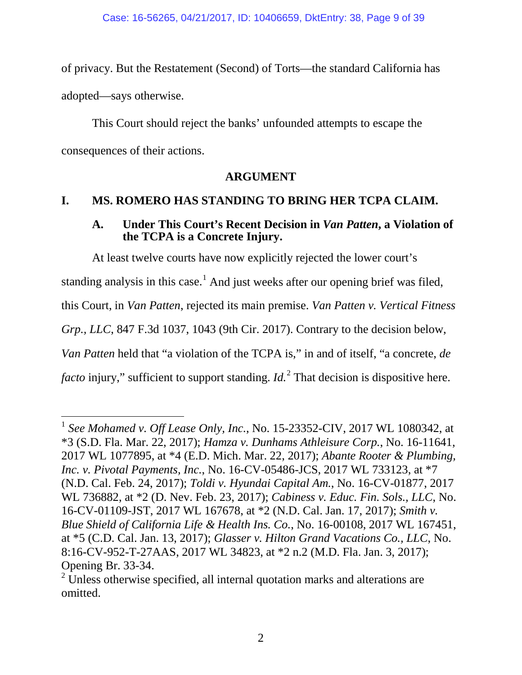of privacy. But the Restatement (Second) of Torts—the standard California has adopted—says otherwise.

This Court should reject the banks' unfounded attempts to escape the consequences of their actions.

## <span id="page-8-10"></span>**ARGUMENT**

# <span id="page-8-2"></span><span id="page-8-1"></span><span id="page-8-0"></span>**I. MS. ROMERO HAS STANDING TO BRING HER TCPA CLAIM.**

## **A. Under This Court's Recent Decision in** *Van Patten***, a Violation of the TCPA is a Concrete Injury.**

At least twelve courts have now explicitly rejected the lower court's

standing analysis in this case.<sup>[1](#page-8-11)</sup> And just weeks after our opening brief was filed,

this Court, in *Van Patten*, rejected its main premise. *Van Patten v. Vertical Fitness* 

*Grp., LLC*, 847 F.3d 1037, 1043 (9th Cir. 2017). Contrary to the decision below,

*Van Patten* held that "a violation of the TCPA is," in and of itself, "a concrete, *de* 

*facto* injury," sufficient to support standing. *Id.*<sup>[2](#page-8-12)</sup> That decision is dispositive here.

<span id="page-8-11"></span><span id="page-8-9"></span><span id="page-8-7"></span><span id="page-8-6"></span><span id="page-8-4"></span><span id="page-8-3"></span> <sup>1</sup> *See Mohamed v. Off Lease Only, Inc.*, No. 15-23352-CIV, 2017 WL 1080342, at \*3 (S.D. Fla. Mar. 22, 2017); *Hamza v. Dunhams Athleisure Corp.*, No. 16-11641, 2017 WL 1077895, at \*4 (E.D. Mich. Mar. 22, 2017); *Abante Rooter & Plumbing, Inc. v. Pivotal Payments, Inc.*, No. 16-CV-05486-JCS, 2017 WL 733123, at \*7 (N.D. Cal. Feb. 24, 2017); *Toldi v. Hyundai Capital Am.*, No. 16-CV-01877, 2017 WL 736882, at \*2 (D. Nev. Feb. 23, 2017); *Cabiness v. Educ. Fin. Sols., LLC*, No. 16-CV-01109-JST, 2017 WL 167678, at \*2 (N.D. Cal. Jan. 17, 2017); *Smith v. Blue Shield of California Life & Health Ins. Co.*, No. 16-00108, 2017 WL 167451, at \*5 (C.D. Cal. Jan. 13, 2017); *Glasser v. Hilton Grand Vacations Co., LLC*, No. 8:16-CV-952-T-27AAS, 2017 WL 34823, at \*2 n.2 (M.D. Fla. Jan. 3, 2017); Opening Br. 33-34.

<span id="page-8-12"></span><span id="page-8-8"></span><span id="page-8-5"></span> $2$  Unless otherwise specified, all internal quotation marks and alterations are omitted.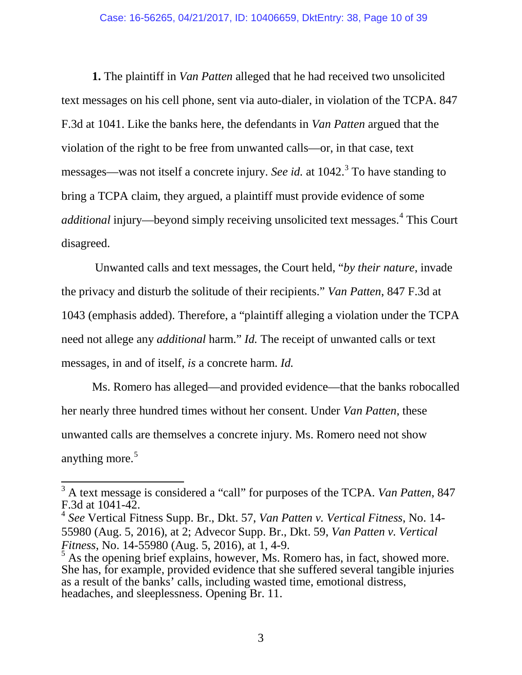**1.** The plaintiff in *Van Patten* alleged that he had received two unsolicited text messages on his cell phone, sent via auto-dialer, in violation of the TCPA. 847 F.3d at 1041. Like the banks here, the defendants in *Van Patten* argued that the violation of the right to be free from unwanted calls—or, in that case, text messages—was not itself a concrete injury. *See id.* at 1042.<sup>[3](#page-9-0)</sup> To have standing to bring a TCPA claim, they argued, a plaintiff must provide evidence of some *additional* injury—beyond simply receiving unsolicited text messages. [4](#page-9-1) This Court disagreed.

Unwanted calls and text messages, the Court held, "*by their nature*, invade the privacy and disturb the solitude of their recipients." *Van Patten*, 847 F.3d at 1043 (emphasis added). Therefore, a "plaintiff alleging a violation under the TCPA need not allege any *additional* harm." *Id.* The receipt of unwanted calls or text messages, in and of itself, *is* a concrete harm. *Id.*

Ms. Romero has alleged—and provided evidence—that the banks robocalled her nearly three hundred times without her consent. Under *Van Patten*, these unwanted calls are themselves a concrete injury. Ms. Romero need not show anything more.<sup>[5](#page-9-2)</sup>

<span id="page-9-0"></span> <sup>3</sup> A text message is considered a "call" for purposes of the TCPA. *Van Patten*, 847 F.3d at 1041-42.

<span id="page-9-1"></span><sup>4</sup> *See* Vertical Fitness Supp. Br., Dkt. 57, *Van Patten v. Vertical Fitness*, No. 14- 55980 (Aug. 5, 2016), at 2; Advecor Supp. Br., Dkt. 59, *Van Patten v. Vertical Fitness*, No. 14-55980 (Aug. 5, 2016), at 1, 4-9.

<span id="page-9-2"></span> $<sup>5</sup>$  As the opening brief explains, however, Ms. Romero has, in fact, showed more.</sup> She has, for example, provided evidence that she suffered several tangible injuries as a result of the banks' calls, including wasted time, emotional distress, headaches, and sleeplessness. Opening Br. 11.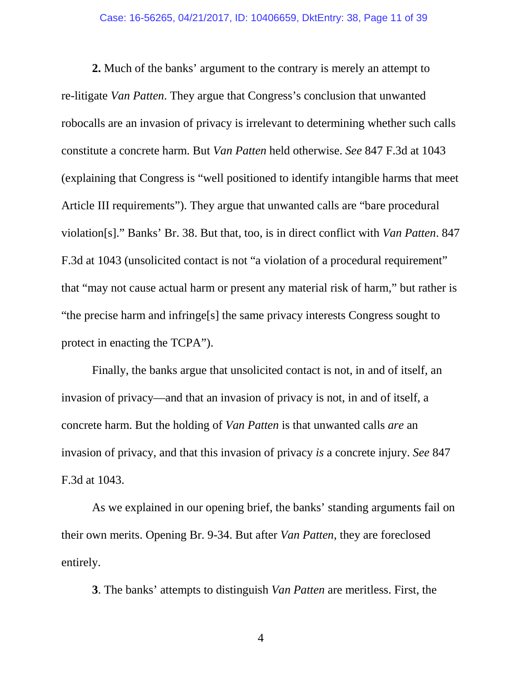**2.** Much of the banks' argument to the contrary is merely an attempt to re-litigate *Van Patten*. They argue that Congress's conclusion that unwanted robocalls are an invasion of privacy is irrelevant to determining whether such calls constitute a concrete harm. But *Van Patten* held otherwise. *See* 847 F.3d at 1043 (explaining that Congress is "well positioned to identify intangible harms that meet Article III requirements"). They argue that unwanted calls are "bare procedural violation[s]." Banks' Br. 38. But that, too, is in direct conflict with *Van Patten*. 847 F.3d at 1043 (unsolicited contact is not "a violation of a procedural requirement" that "may not cause actual harm or present any material risk of harm," but rather is "the precise harm and infringe[s] the same privacy interests Congress sought to protect in enacting the TCPA").

Finally, the banks argue that unsolicited contact is not, in and of itself, an invasion of privacy—and that an invasion of privacy is not, in and of itself, a concrete harm. But the holding of *Van Patten* is that unwanted calls *are* an invasion of privacy, and that this invasion of privacy *is* a concrete injury. *See* 847 F.3d at 1043.

As we explained in our opening brief, the banks' standing arguments fail on their own merits. Opening Br. 9-34. But after *Van Patten*, they are foreclosed entirely.

**3**. The banks' attempts to distinguish *Van Patten* are meritless. First, the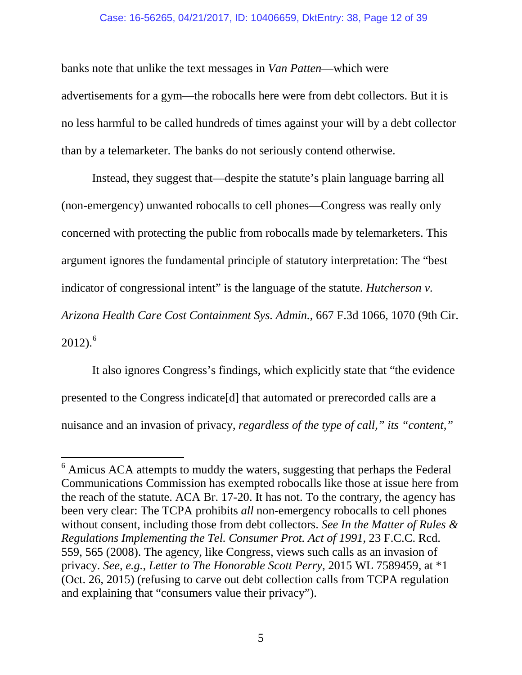### Case: 16-56265, 04/21/2017, ID: 10406659, DktEntry: 38, Page 12 of 39

banks note that unlike the text messages in *Van Patten*—which were advertisements for a gym—the robocalls here were from debt collectors. But it is no less harmful to be called hundreds of times against your will by a debt collector than by a telemarketer. The banks do not seriously contend otherwise.

Instead, they suggest that—despite the statute's plain language barring all (non-emergency) unwanted robocalls to cell phones—Congress was really only concerned with protecting the public from robocalls made by telemarketers. This argument ignores the fundamental principle of statutory interpretation: The "best indicator of congressional intent" is the language of the statute. *Hutcherson v. Arizona Health Care Cost Containment Sys. Admin.*, 667 F.3d 1066, 1070 (9th Cir.  $2012$ ).<sup>[6](#page-11-3)</sup>

<span id="page-11-0"></span>It also ignores Congress's findings, which explicitly state that "the evidence presented to the Congress indicate[d] that automated or prerecorded calls are a nuisance and an invasion of privacy, *regardless of the type of call," its "content,"* 

<span id="page-11-3"></span><span id="page-11-2"></span><span id="page-11-1"></span><sup>&</sup>lt;sup>6</sup> Amicus ACA attempts to muddy the waters, suggesting that perhaps the Federal Communications Commission has exempted robocalls like those at issue here from the reach of the statute. ACA Br. 17-20. It has not. To the contrary, the agency has been very clear: The TCPA prohibits *all* non-emergency robocalls to cell phones without consent, including those from debt collectors. *See In the Matter of Rules & Regulations Implementing the Tel. Consumer Prot. Act of 1991*, 23 F.C.C. Rcd. 559, 565 (2008). The agency, like Congress, views such calls as an invasion of privacy. *See, e.g.*, *Letter to The Honorable Scott Perry*, 2015 WL 7589459, at \*1 (Oct. 26, 2015) (refusing to carve out debt collection calls from TCPA regulation and explaining that "consumers value their privacy").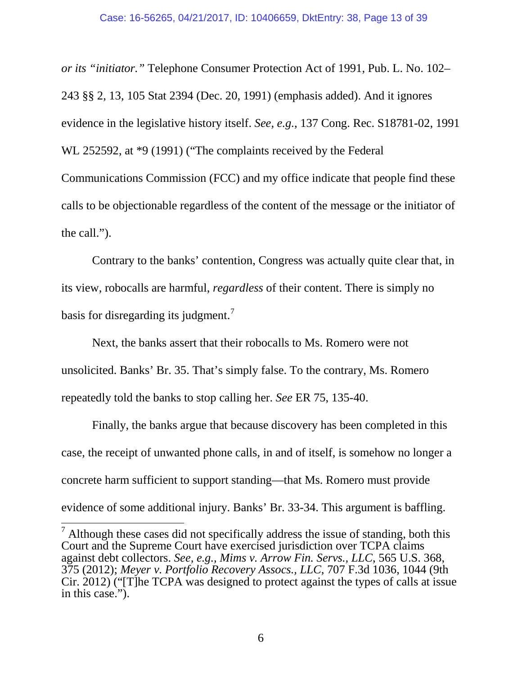<span id="page-12-2"></span>*or its "initiator."* Telephone Consumer Protection Act of 1991, Pub. L. No. 102– 243 §§ 2, 13, 105 Stat 2394 (Dec. 20, 1991) (emphasis added). And it ignores evidence in the legislative history itself. *See, e.g.*, 137 Cong. Rec. S18781-02, 1991 WL 252592, at \*9 (1991) ("The complaints received by the Federal Communications Commission (FCC) and my office indicate that people find these calls to be objectionable regardless of the content of the message or the initiator of the call.").

Contrary to the banks' contention, Congress was actually quite clear that, in its view, robocalls are harmful, *regardless* of their content. There is simply no basis for disregarding its judgment.<sup>[7](#page-12-3)</sup>

Next, the banks assert that their robocalls to Ms. Romero were not unsolicited. Banks' Br. 35. That's simply false. To the contrary, Ms. Romero repeatedly told the banks to stop calling her. *See* ER 75, 135-40.

Finally, the banks argue that because discovery has been completed in this case, the receipt of unwanted phone calls, in and of itself, is somehow no longer a concrete harm sufficient to support standing—that Ms. Romero must provide evidence of some additional injury. Banks' Br. 33-34. This argument is baffling.

<span id="page-12-3"></span><span id="page-12-1"></span><span id="page-12-0"></span> $<sup>7</sup>$  Although these cases did not specifically address the issue of standing, both this</sup> Court and the Supreme Court have exercised jurisdiction over TCPA claims against debt collectors. *See, e.g., Mims v. Arrow Fin. Servs., LLC*, 565 U.S. 368, 375 (2012); *Meyer v. Portfolio Recovery Assocs., LLC*, 707 F.3d 1036, 1044 (9th Cir. 2012) ("[T]he TCPA was designed to protect against the types of calls at issue in this case.").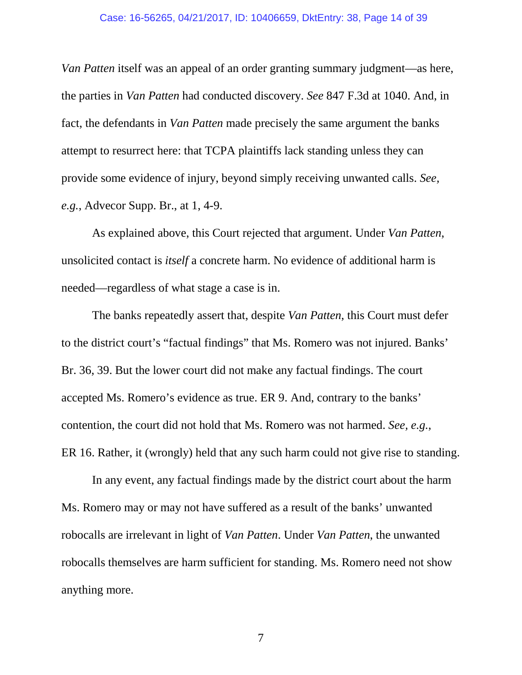#### Case: 16-56265, 04/21/2017, ID: 10406659, DktEntry: 38, Page 14 of 39

*Van Patten* itself was an appeal of an order granting summary judgment—as here, the parties in *Van Patten* had conducted discovery. *See* 847 F.3d at 1040. And, in fact, the defendants in *Van Patten* made precisely the same argument the banks attempt to resurrect here: that TCPA plaintiffs lack standing unless they can provide some evidence of injury, beyond simply receiving unwanted calls. *See, e.g.*, Advecor Supp. Br., at 1, 4-9.

As explained above, this Court rejected that argument. Under *Van Patten*, unsolicited contact is *itself* a concrete harm. No evidence of additional harm is needed—regardless of what stage a case is in.

The banks repeatedly assert that, despite *Van Patten*, this Court must defer to the district court's "factual findings" that Ms. Romero was not injured. Banks' Br. 36, 39. But the lower court did not make any factual findings. The court accepted Ms. Romero's evidence as true. ER 9. And, contrary to the banks' contention, the court did not hold that Ms. Romero was not harmed. *See, e.g.*, ER 16. Rather, it (wrongly) held that any such harm could not give rise to standing.

In any event, any factual findings made by the district court about the harm Ms. Romero may or may not have suffered as a result of the banks' unwanted robocalls are irrelevant in light of *Van Patten*. Under *Van Patten*, the unwanted robocalls themselves are harm sufficient for standing. Ms. Romero need not show anything more.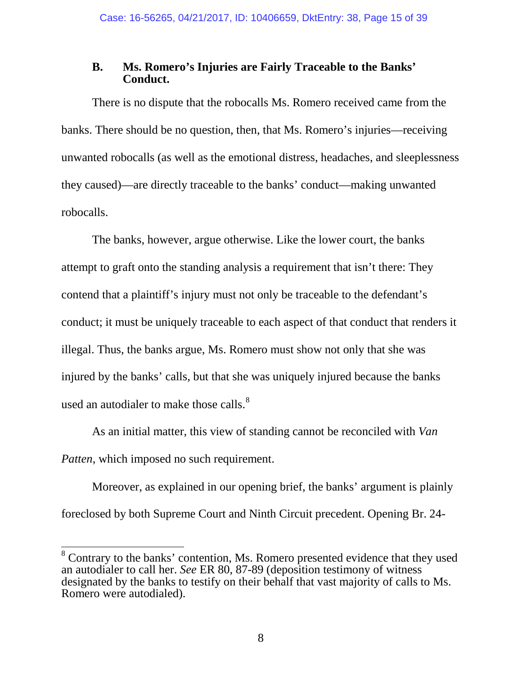## <span id="page-14-0"></span>**B. Ms. Romero's Injuries are Fairly Traceable to the Banks' Conduct.**

There is no dispute that the robocalls Ms. Romero received came from the banks. There should be no question, then, that Ms. Romero's injuries—receiving unwanted robocalls (as well as the emotional distress, headaches, and sleeplessness they caused)—are directly traceable to the banks' conduct—making unwanted robocalls.

The banks, however, argue otherwise. Like the lower court, the banks attempt to graft onto the standing analysis a requirement that isn't there: They contend that a plaintiff's injury must not only be traceable to the defendant's conduct; it must be uniquely traceable to each aspect of that conduct that renders it illegal. Thus, the banks argue, Ms. Romero must show not only that she was injured by the banks' calls, but that she was uniquely injured because the banks used an autodialer to make those calls.<sup>[8](#page-14-1)</sup>

As an initial matter, this view of standing cannot be reconciled with *Van Patten*, which imposed no such requirement.

Moreover, as explained in our opening brief, the banks' argument is plainly foreclosed by both Supreme Court and Ninth Circuit precedent. Opening Br. 24-

<span id="page-14-1"></span><sup>&</sup>lt;sup>8</sup> Contrary to the banks' contention, Ms. Romero presented evidence that they used an autodialer to call her. *See* ER 80, 87-89 (deposition testimony of witness designated by the banks to testify on their behalf that vast majority of calls to Ms. Romero were autodialed).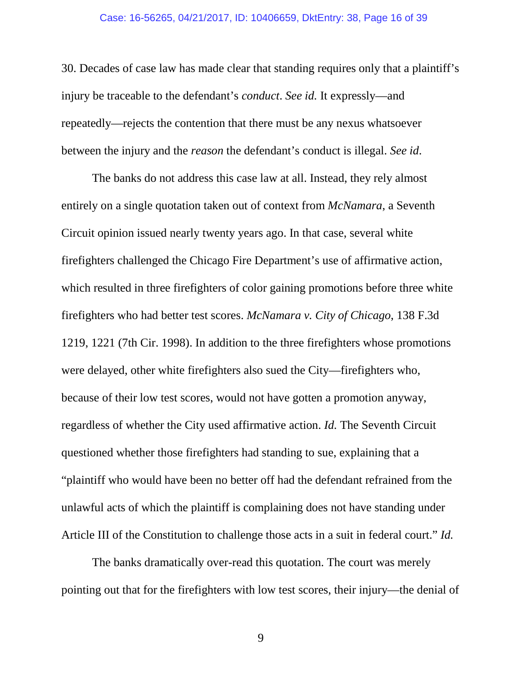#### Case: 16-56265, 04/21/2017, ID: 10406659, DktEntry: 38, Page 16 of 39

30. Decades of case law has made clear that standing requires only that a plaintiff's injury be traceable to the defendant's *conduct*. *See id.* It expressly—and repeatedly—rejects the contention that there must be any nexus whatsoever between the injury and the *reason* the defendant's conduct is illegal. *See id*.

<span id="page-15-0"></span>The banks do not address this case law at all. Instead, they rely almost entirely on a single quotation taken out of context from *McNamara*, a Seventh Circuit opinion issued nearly twenty years ago. In that case, several white firefighters challenged the Chicago Fire Department's use of affirmative action, which resulted in three firefighters of color gaining promotions before three white firefighters who had better test scores. *McNamara v. City of Chicago*, 138 F.3d 1219, 1221 (7th Cir. 1998). In addition to the three firefighters whose promotions were delayed, other white firefighters also sued the City—firefighters who, because of their low test scores, would not have gotten a promotion anyway, regardless of whether the City used affirmative action. *Id.* The Seventh Circuit questioned whether those firefighters had standing to sue, explaining that a "plaintiff who would have been no better off had the defendant refrained from the unlawful acts of which the plaintiff is complaining does not have standing under Article III of the Constitution to challenge those acts in a suit in federal court." *Id.*

The banks dramatically over-read this quotation. The court was merely pointing out that for the firefighters with low test scores, their injury—the denial of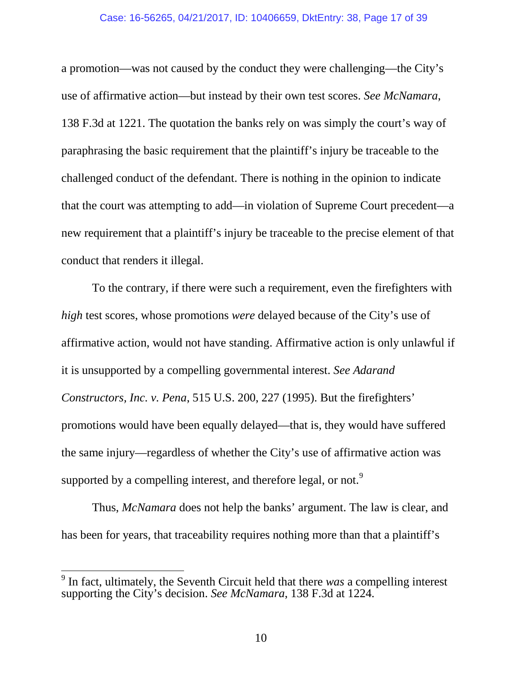#### <span id="page-16-1"></span>Case: 16-56265, 04/21/2017, ID: 10406659, DktEntry: 38, Page 17 of 39

a promotion—was not caused by the conduct they were challenging—the City's use of affirmative action—but instead by their own test scores. *See McNamara*, 138 F.3d at 1221. The quotation the banks rely on was simply the court's way of paraphrasing the basic requirement that the plaintiff's injury be traceable to the challenged conduct of the defendant. There is nothing in the opinion to indicate that the court was attempting to add—in violation of Supreme Court precedent—a new requirement that a plaintiff's injury be traceable to the precise element of that conduct that renders it illegal.

<span id="page-16-0"></span>To the contrary, if there were such a requirement, even the firefighters with *high* test scores, whose promotions *were* delayed because of the City's use of affirmative action, would not have standing. Affirmative action is only unlawful if it is unsupported by a compelling governmental interest. *See Adarand Constructors, Inc. v. Pena*, 515 U.S. 200, 227 (1995). But the firefighters' promotions would have been equally delayed—that is, they would have suffered the same injury—regardless of whether the City's use of affirmative action was supported by a compelling interest, and therefore legal, or not.<sup>[9](#page-16-2)</sup>

Thus, *McNamara* does not help the banks' argument. The law is clear, and has been for years, that traceability requires nothing more than that a plaintiff's

<span id="page-16-2"></span> <sup>9</sup> In fact, ultimately, the Seventh Circuit held that there *was* a compelling interest supporting the City's decision. *See McNamara*, 138 F.3d at 1224.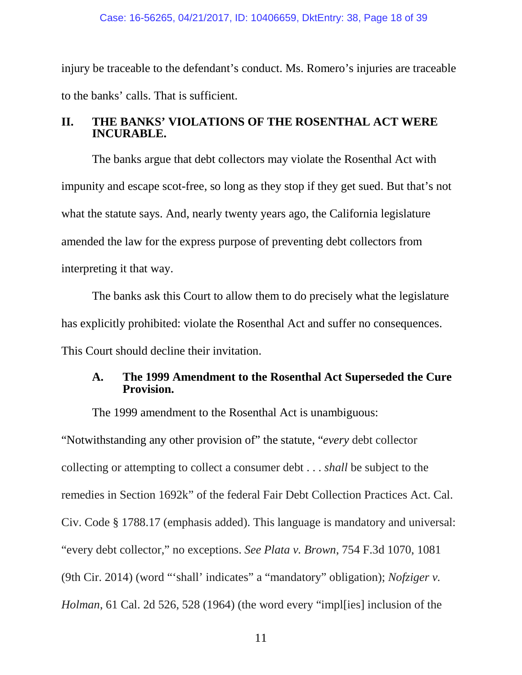injury be traceable to the defendant's conduct. Ms. Romero's injuries are traceable to the banks' calls. That is sufficient.

### <span id="page-17-0"></span>**II. THE BANKS' VIOLATIONS OF THE ROSENTHAL ACT WERE INCURABLE.**

The banks argue that debt collectors may violate the Rosenthal Act with impunity and escape scot-free, so long as they stop if they get sued. But that's not what the statute says. And, nearly twenty years ago, the California legislature amended the law for the express purpose of preventing debt collectors from interpreting it that way.

The banks ask this Court to allow them to do precisely what the legislature has explicitly prohibited: violate the Rosenthal Act and suffer no consequences. This Court should decline their invitation.

## <span id="page-17-1"></span>**A. The 1999 Amendment to the Rosenthal Act Superseded the Cure Provision.**

<span id="page-17-3"></span><span id="page-17-2"></span>The 1999 amendment to the Rosenthal Act is unambiguous:

<span id="page-17-4"></span>"Notwithstanding any other provision of" the statute, "*every* debt collector collecting or attempting to collect a consumer debt . . . *shall* be subject to the remedies in Section 1692k" of the federal Fair Debt Collection Practices Act. Cal. Civ. Code § 1788.17 (emphasis added). This language is mandatory and universal: "every debt collector," no exceptions. *See Plata v. Brown*, 754 F.3d 1070, 1081 (9th Cir. 2014) (word "'shall' indicates" a "mandatory" obligation); *Nofziger v. Holman*, 61 Cal. 2d 526, 528 (1964) (the word every "impl[ies] inclusion of the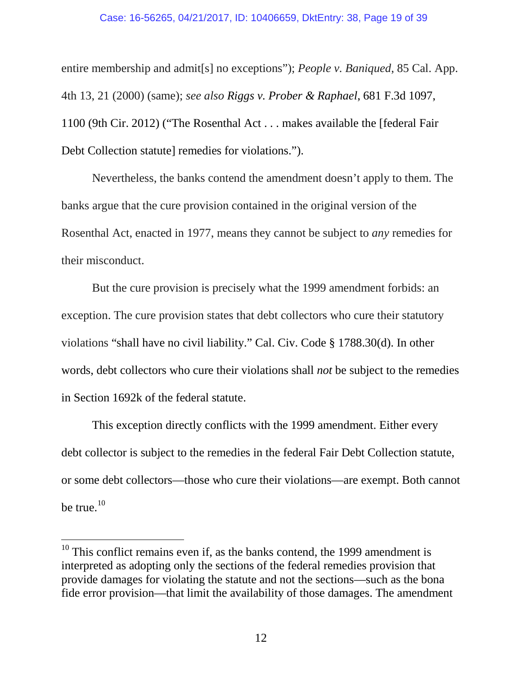<span id="page-18-1"></span><span id="page-18-0"></span>entire membership and admit[s] no exceptions"); *People v. Baniqued*, 85 Cal. App. 4th 13, 21 (2000) (same); *see also Riggs v. Prober & Raphael*, 681 F.3d 1097, 1100 (9th Cir. 2012) ("The Rosenthal Act . . . makes available the [federal Fair Debt Collection statute] remedies for violations.").

Nevertheless, the banks contend the amendment doesn't apply to them. The banks argue that the cure provision contained in the original version of the Rosenthal Act, enacted in 1977, means they cannot be subject to *any* remedies for their misconduct.

But the cure provision is precisely what the 1999 amendment forbids: an exception. The cure provision states that debt collectors who cure their statutory violations "shall have no civil liability." Cal. Civ. Code § 1788.30(d). In other words, debt collectors who cure their violations shall *not* be subject to the remedies in Section 1692k of the federal statute.

<span id="page-18-2"></span>This exception directly conflicts with the 1999 amendment. Either every debt collector is subject to the remedies in the federal Fair Debt Collection statute, or some debt collectors—those who cure their violations—are exempt. Both cannot be true. $10$ 

<span id="page-18-3"></span> $10$  This conflict remains even if, as the banks contend, the 1999 amendment is interpreted as adopting only the sections of the federal remedies provision that provide damages for violating the statute and not the sections—such as the bona fide error provision—that limit the availability of those damages. The amendment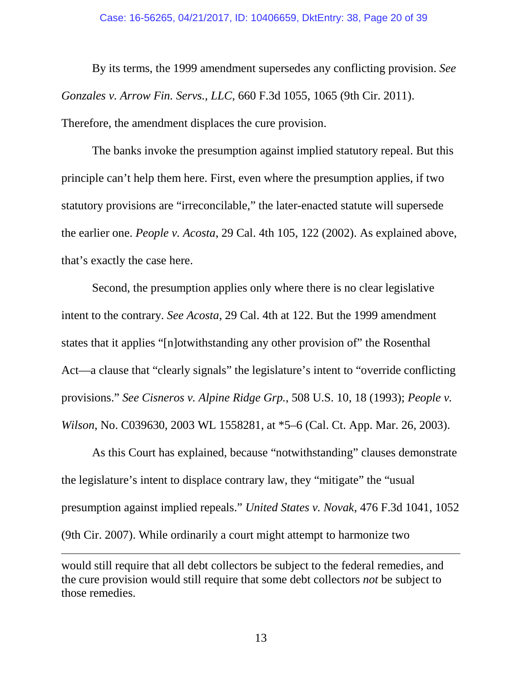<span id="page-19-1"></span>By its terms, the 1999 amendment supersedes any conflicting provision. *See Gonzales v. Arrow Fin. Servs., LLC*, 660 F.3d 1055, 1065 (9th Cir. 2011). Therefore, the amendment displaces the cure provision.

The banks invoke the presumption against implied statutory repeal. But this principle can't help them here. First, even where the presumption applies, if two statutory provisions are "irreconcilable," the later-enacted statute will supersede the earlier one. *People v. Acosta*, 29 Cal. 4th 105, 122 (2002). As explained above, that's exactly the case here.

<span id="page-19-2"></span>Second, the presumption applies only where there is no clear legislative intent to the contrary. *See Acosta*, 29 Cal. 4th at 122. But the 1999 amendment states that it applies "[n]otwithstanding any other provision of" the Rosenthal Act—a clause that "clearly signals" the legislature's intent to "override conflicting provisions." *See Cisneros v. Alpine Ridge Grp.*, 508 U.S. 10, 18 (1993); *People v. Wilson*, No. C039630, 2003 WL 1558281, at \*5–6 (Cal. Ct. App. Mar. 26, 2003).

<span id="page-19-3"></span><span id="page-19-0"></span>As this Court has explained, because "notwithstanding" clauses demonstrate the legislature's intent to displace contrary law, they "mitigate" the "usual presumption against implied repeals." *United States v. Novak*, 476 F.3d 1041, 1052 (9th Cir. 2007). While ordinarily a court might attempt to harmonize two

<span id="page-19-4"></span> $\overline{a}$ 

would still require that all debt collectors be subject to the federal remedies, and the cure provision would still require that some debt collectors *not* be subject to those remedies.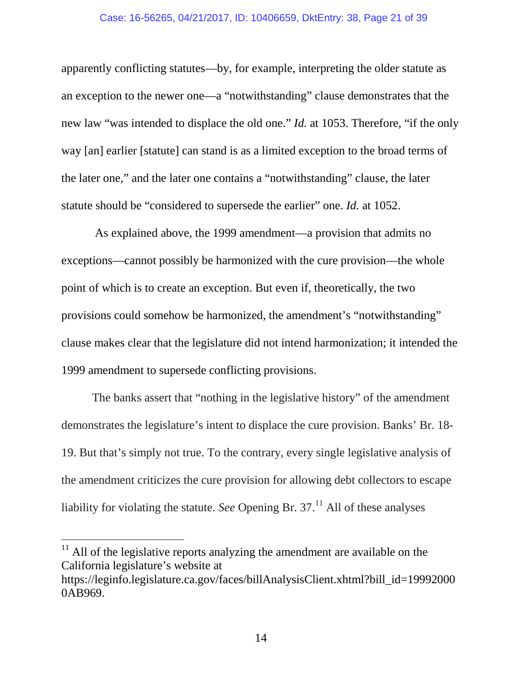#### <span id="page-20-0"></span>Case: 16-56265, 04/21/2017, ID: 10406659, DktEntry: 38, Page 21 of 39

apparently conflicting statutes—by, for example, interpreting the older statute as an exception to the newer one—a "notwithstanding" clause demonstrates that the new law "was intended to displace the old one." *Id.* at 1053. Therefore, "if the only way [an] earlier [statute] can stand is as a limited exception to the broad terms of the later one," and the later one contains a "notwithstanding" clause, the later statute should be "considered to supersede the earlier" one. *Id.* at 1052.

As explained above, the 1999 amendment—a provision that admits no exceptions—cannot possibly be harmonized with the cure provision—the whole point of which is to create an exception. But even if, theoretically, the two provisions could somehow be harmonized, the amendment's "notwithstanding" clause makes clear that the legislature did not intend harmonization; it intended the 1999 amendment to supersede conflicting provisions.

The banks assert that "nothing in the legislative history" of the amendment demonstrates the legislature's intent to displace the cure provision. Banks' Br. 18- 19. But that's simply not true. To the contrary, every single legislative analysis of the amendment criticizes the cure provision for allowing debt collectors to escape liability for violating the statute. *See* Opening Br.  $37<sup>11</sup>$  $37<sup>11</sup>$  $37<sup>11</sup>$  All of these analyses

<span id="page-20-1"></span> $11$  All of the legislative reports analyzing the amendment are available on the California legislature's website at

https://leginfo.legislature.ca.gov/faces/billAnalysisClient.xhtml?bill\_id=19992000 0AB969.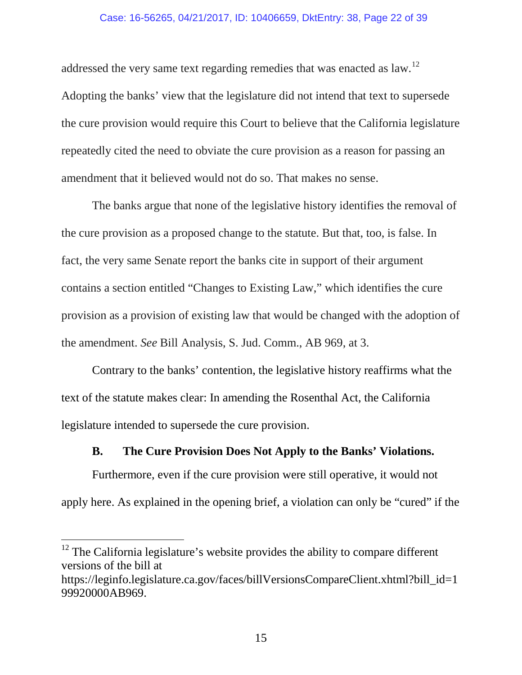### Case: 16-56265, 04/21/2017, ID: 10406659, DktEntry: 38, Page 22 of 39

addressed the very same text regarding remedies that was enacted as law.[12](#page-21-1) Adopting the banks' view that the legislature did not intend that text to supersede the cure provision would require this Court to believe that the California legislature repeatedly cited the need to obviate the cure provision as a reason for passing an amendment that it believed would not do so. That makes no sense.

The banks argue that none of the legislative history identifies the removal of the cure provision as a proposed change to the statute. But that, too, is false. In fact, the very same Senate report the banks cite in support of their argument contains a section entitled "Changes to Existing Law," which identifies the cure provision as a provision of existing law that would be changed with the adoption of the amendment. *See* Bill Analysis, S. Jud. Comm., AB 969, at 3.

Contrary to the banks' contention, the legislative history reaffirms what the text of the statute makes clear: In amending the Rosenthal Act, the California legislature intended to supersede the cure provision.

## **B. The Cure Provision Does Not Apply to the Banks' Violations.**

<span id="page-21-0"></span>Furthermore, even if the cure provision were still operative, it would not apply here. As explained in the opening brief, a violation can only be "cured" if the

<span id="page-21-1"></span><sup>&</sup>lt;sup>12</sup> The California legislature's website provides the ability to compare different versions of the bill at

https://leginfo.legislature.ca.gov/faces/billVersionsCompareClient.xhtml?bill\_id=1 99920000AB969.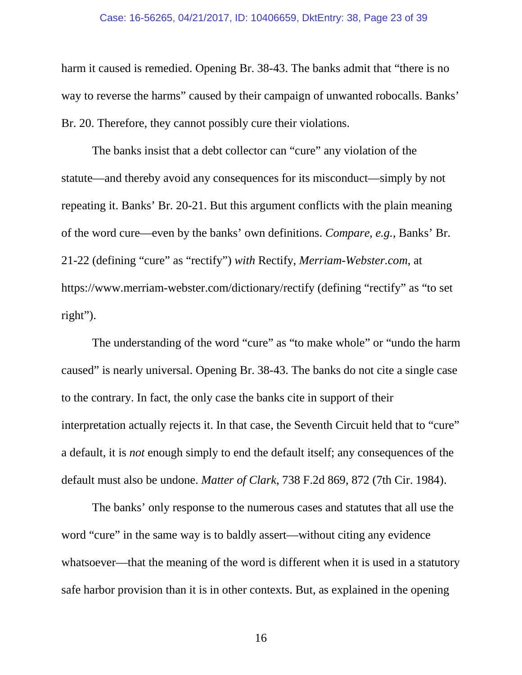#### Case: 16-56265, 04/21/2017, ID: 10406659, DktEntry: 38, Page 23 of 39

harm it caused is remedied. Opening Br. 38-43. The banks admit that "there is no way to reverse the harms" caused by their campaign of unwanted robocalls. Banks' Br. 20. Therefore, they cannot possibly cure their violations.

The banks insist that a debt collector can "cure" any violation of the statute—and thereby avoid any consequences for its misconduct—simply by not repeating it. Banks' Br. 20-21. But this argument conflicts with the plain meaning of the word cure—even by the banks' own definitions. *Compare, e.g.*, Banks' Br. 21-22 (defining "cure" as "rectify") *with* Rectify, *Merriam-Webster.com*, at https://www.merriam-webster.com/dictionary/rectify (defining "rectify" as "to set right").

The understanding of the word "cure" as "to make whole" or "undo the harm caused" is nearly universal. Opening Br. 38-43. The banks do not cite a single case to the contrary. In fact, the only case the banks cite in support of their interpretation actually rejects it. In that case, the Seventh Circuit held that to "cure" a default, it is *not* enough simply to end the default itself; any consequences of the default must also be undone. *Matter of Clark*, 738 F.2d 869, 872 (7th Cir. 1984).

<span id="page-22-0"></span>The banks' only response to the numerous cases and statutes that all use the word "cure" in the same way is to baldly assert—without citing any evidence whatsoever—that the meaning of the word is different when it is used in a statutory safe harbor provision than it is in other contexts. But, as explained in the opening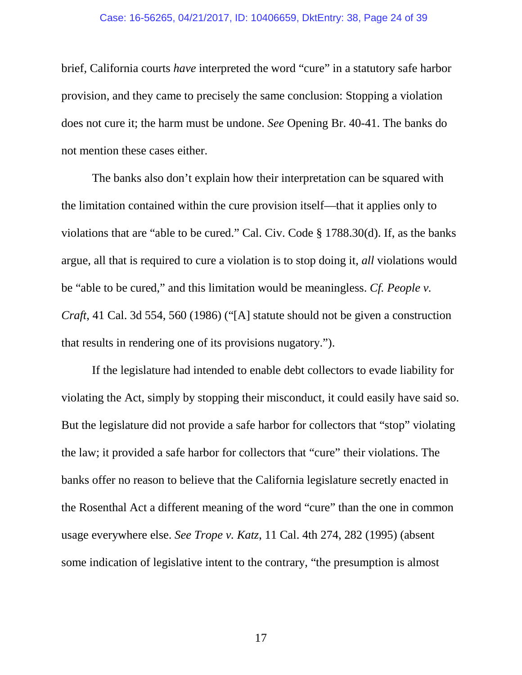#### Case: 16-56265, 04/21/2017, ID: 10406659, DktEntry: 38, Page 24 of 39

brief, California courts *have* interpreted the word "cure" in a statutory safe harbor provision, and they came to precisely the same conclusion: Stopping a violation does not cure it; the harm must be undone. *See* Opening Br. 40-41. The banks do not mention these cases either.

<span id="page-23-2"></span>The banks also don't explain how their interpretation can be squared with the limitation contained within the cure provision itself—that it applies only to violations that are "able to be cured." Cal. Civ. Code § 1788.30(d). If, as the banks argue, all that is required to cure a violation is to stop doing it, *all* violations would be "able to be cured," and this limitation would be meaningless. *Cf. People v. Craft*, 41 Cal. 3d 554, 560 (1986) ("[A] statute should not be given a construction that results in rendering one of its provisions nugatory.").

<span id="page-23-1"></span><span id="page-23-0"></span>If the legislature had intended to enable debt collectors to evade liability for violating the Act, simply by stopping their misconduct, it could easily have said so. But the legislature did not provide a safe harbor for collectors that "stop" violating the law; it provided a safe harbor for collectors that "cure" their violations. The banks offer no reason to believe that the California legislature secretly enacted in the Rosenthal Act a different meaning of the word "cure" than the one in common usage everywhere else. *See Trope v. Katz*, 11 Cal. 4th 274, 282 (1995) (absent some indication of legislative intent to the contrary, "the presumption is almost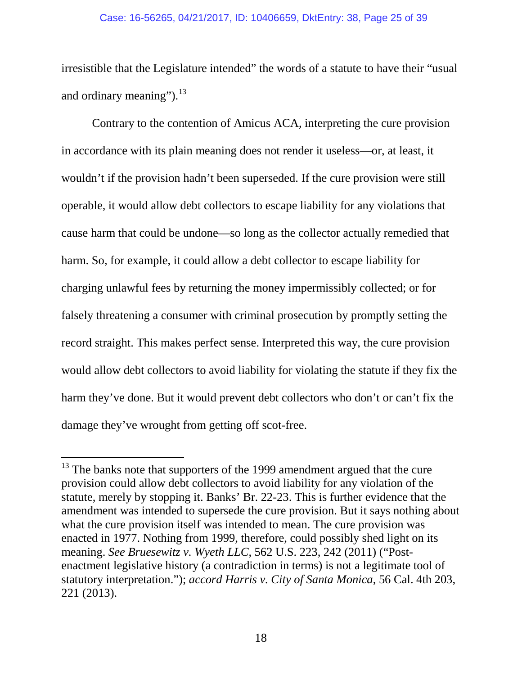irresistible that the Legislature intended" the words of a statute to have their "usual and ordinary meaning"). $^{13}$  $^{13}$  $^{13}$ 

Contrary to the contention of Amicus ACA, interpreting the cure provision in accordance with its plain meaning does not render it useless—or, at least, it wouldn't if the provision hadn't been superseded. If the cure provision were still operable, it would allow debt collectors to escape liability for any violations that cause harm that could be undone—so long as the collector actually remedied that harm. So, for example, it could allow a debt collector to escape liability for charging unlawful fees by returning the money impermissibly collected; or for falsely threatening a consumer with criminal prosecution by promptly setting the record straight. This makes perfect sense. Interpreted this way, the cure provision would allow debt collectors to avoid liability for violating the statute if they fix the harm they've done. But it would prevent debt collectors who don't or can't fix the damage they've wrought from getting off scot-free.

<span id="page-24-2"></span><span id="page-24-1"></span><span id="page-24-0"></span> $13$  The banks note that supporters of the 1999 amendment argued that the cure provision could allow debt collectors to avoid liability for any violation of the statute, merely by stopping it. Banks' Br. 22-23. This is further evidence that the amendment was intended to supersede the cure provision. But it says nothing about what the cure provision itself was intended to mean. The cure provision was enacted in 1977. Nothing from 1999, therefore, could possibly shed light on its meaning. *See Bruesewitz v. Wyeth LLC*, 562 U.S. 223, 242 (2011) ("Postenactment legislative history (a contradiction in terms) is not a legitimate tool of statutory interpretation."); *accord Harris v. City of Santa Monica*, 56 Cal. 4th 203, 221 (2013).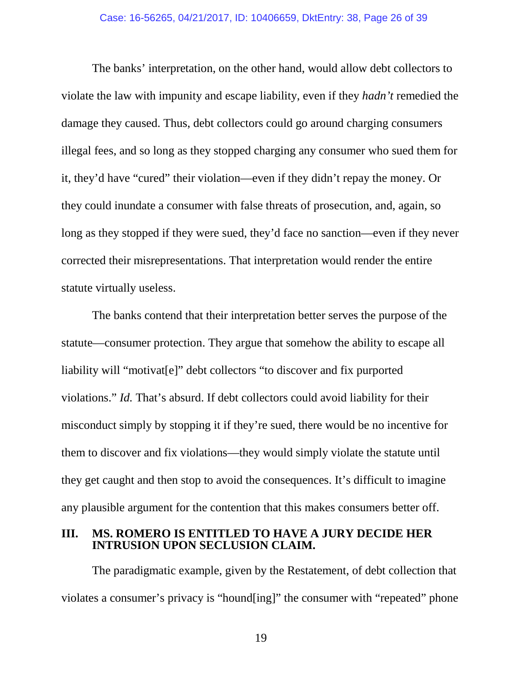The banks' interpretation, on the other hand, would allow debt collectors to violate the law with impunity and escape liability, even if they *hadn't* remedied the damage they caused. Thus, debt collectors could go around charging consumers illegal fees, and so long as they stopped charging any consumer who sued them for it, they'd have "cured" their violation—even if they didn't repay the money. Or they could inundate a consumer with false threats of prosecution, and, again, so long as they stopped if they were sued, they'd face no sanction—even if they never corrected their misrepresentations. That interpretation would render the entire statute virtually useless.

<span id="page-25-1"></span>The banks contend that their interpretation better serves the purpose of the statute—consumer protection. They argue that somehow the ability to escape all liability will "motivat[e]" debt collectors "to discover and fix purported violations." *Id.* That's absurd. If debt collectors could avoid liability for their misconduct simply by stopping it if they're sued, there would be no incentive for them to discover and fix violations—they would simply violate the statute until they get caught and then stop to avoid the consequences. It's difficult to imagine any plausible argument for the contention that this makes consumers better off.

### <span id="page-25-0"></span>**III. MS. ROMERO IS ENTITLED TO HAVE A JURY DECIDE HER INTRUSION UPON SECLUSION CLAIM.**

The paradigmatic example, given by the Restatement, of debt collection that violates a consumer's privacy is "hound[ing]" the consumer with "repeated" phone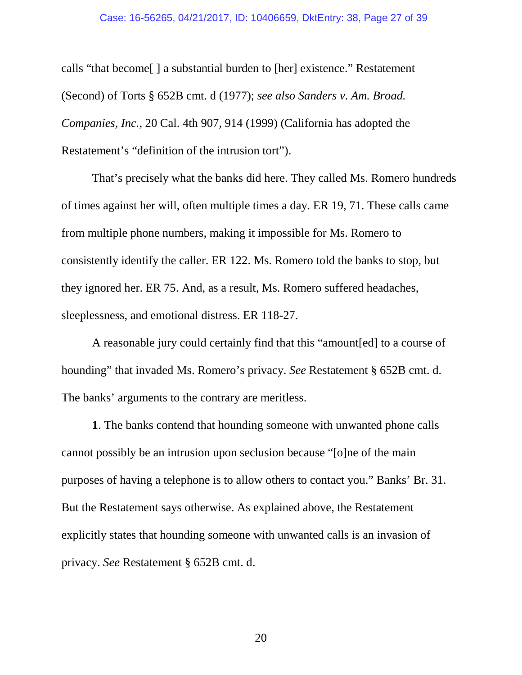<span id="page-26-1"></span><span id="page-26-0"></span>calls "that become[ ] a substantial burden to [her] existence." Restatement (Second) of Torts § 652B cmt. d (1977); *see also Sanders v. Am. Broad. Companies, Inc.*, 20 Cal. 4th 907, 914 (1999) (California has adopted the Restatement's "definition of the intrusion tort").

That's precisely what the banks did here. They called Ms. Romero hundreds of times against her will, often multiple times a day. ER 19, 71. These calls came from multiple phone numbers, making it impossible for Ms. Romero to consistently identify the caller. ER 122. Ms. Romero told the banks to stop, but they ignored her. ER 75. And, as a result, Ms. Romero suffered headaches, sleeplessness, and emotional distress. ER 118-27.

A reasonable jury could certainly find that this "amount[ed] to a course of hounding" that invaded Ms. Romero's privacy. *See* Restatement § 652B cmt. d. The banks' arguments to the contrary are meritless.

**1**. The banks contend that hounding someone with unwanted phone calls cannot possibly be an intrusion upon seclusion because "[o]ne of the main purposes of having a telephone is to allow others to contact you." Banks' Br. 31. But the Restatement says otherwise. As explained above, the Restatement explicitly states that hounding someone with unwanted calls is an invasion of privacy. *See* Restatement § 652B cmt. d.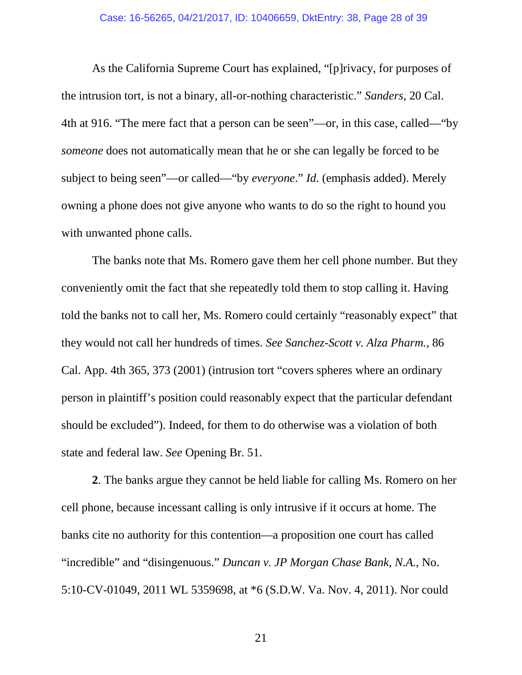<span id="page-27-2"></span>As the California Supreme Court has explained, "[p]rivacy, for purposes of the intrusion tort, is not a binary, all-or-nothing characteristic." *Sanders*, 20 Cal. 4th at 916. "The mere fact that a person can be seen"—or, in this case, called—"by *someone* does not automatically mean that he or she can legally be forced to be subject to being seen"—or called—"by *everyone*." *Id.* (emphasis added). Merely owning a phone does not give anyone who wants to do so the right to hound you with unwanted phone calls.

<span id="page-27-1"></span>The banks note that Ms. Romero gave them her cell phone number. But they conveniently omit the fact that she repeatedly told them to stop calling it. Having told the banks not to call her, Ms. Romero could certainly "reasonably expect" that they would not call her hundreds of times. *See Sanchez-Scott v. Alza Pharm.*, 86 Cal. App. 4th 365, 373 (2001) (intrusion tort "covers spheres where an ordinary person in plaintiff's position could reasonably expect that the particular defendant should be excluded"). Indeed, for them to do otherwise was a violation of both state and federal law. *See* Opening Br. 51.

<span id="page-27-0"></span>**2**. The banks argue they cannot be held liable for calling Ms. Romero on her cell phone, because incessant calling is only intrusive if it occurs at home. The banks cite no authority for this contention—a proposition one court has called "incredible" and "disingenuous." *Duncan v. JP Morgan Chase Bank, N.A.*, No. 5:10-CV-01049, 2011 WL 5359698, at \*6 (S.D.W. Va. Nov. 4, 2011). Nor could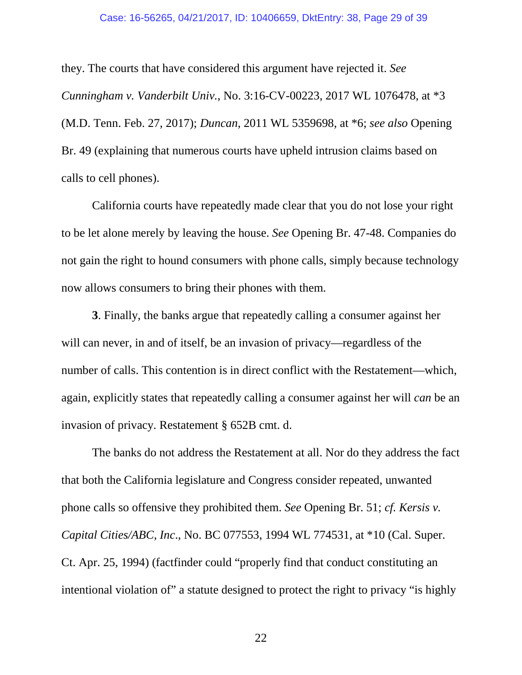<span id="page-28-1"></span><span id="page-28-0"></span>they. The courts that have considered this argument have rejected it. *See Cunningham v. Vanderbilt Univ.*, No. 3:16-CV-00223, 2017 WL 1076478, at \*3 (M.D. Tenn. Feb. 27, 2017); *Duncan*, 2011 WL 5359698, at \*6; *see also* Opening Br. 49 (explaining that numerous courts have upheld intrusion claims based on calls to cell phones).

California courts have repeatedly made clear that you do not lose your right to be let alone merely by leaving the house. *See* Opening Br. 47-48. Companies do not gain the right to hound consumers with phone calls, simply because technology now allows consumers to bring their phones with them.

**3**. Finally, the banks argue that repeatedly calling a consumer against her will can never, in and of itself, be an invasion of privacy—regardless of the number of calls. This contention is in direct conflict with the Restatement—which, again, explicitly states that repeatedly calling a consumer against her will *can* be an invasion of privacy. Restatement § 652B cmt. d.

<span id="page-28-2"></span>The banks do not address the Restatement at all. Nor do they address the fact that both the California legislature and Congress consider repeated, unwanted phone calls so offensive they prohibited them. *See* Opening Br. 51; *cf. Kersis v. Capital Cities/ABC, Inc*., No. BC 077553, 1994 WL 774531, at \*10 (Cal. Super. Ct. Apr. 25, 1994) (factfinder could "properly find that conduct constituting an intentional violation of" a statute designed to protect the right to privacy "is highly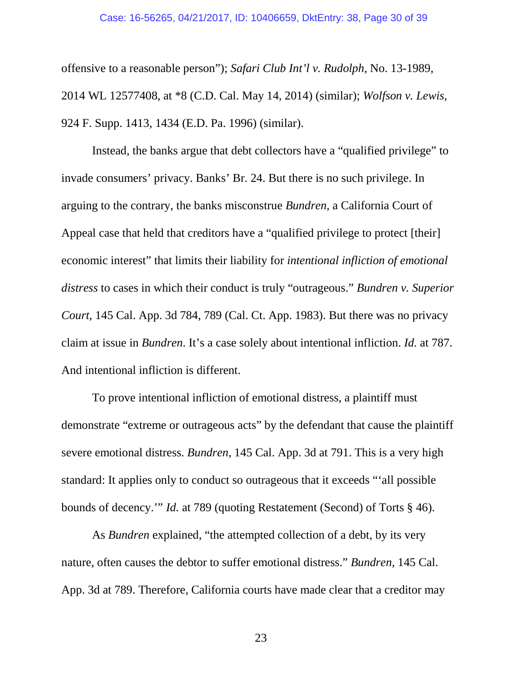<span id="page-29-2"></span><span id="page-29-1"></span>offensive to a reasonable person"); *Safari Club Int'l v. Rudolph*, No. 13-1989, 2014 WL 12577408, at \*8 (C.D. Cal. May 14, 2014) (similar); *Wolfson v. Lewis*, 924 F. Supp. 1413, 1434 (E.D. Pa. 1996) (similar).

<span id="page-29-0"></span>Instead, the banks argue that debt collectors have a "qualified privilege" to invade consumers' privacy. Banks' Br. 24. But there is no such privilege. In arguing to the contrary, the banks misconstrue *Bundren*, a California Court of Appeal case that held that creditors have a "qualified privilege to protect [their] economic interest" that limits their liability for *intentional infliction of emotional distress* to cases in which their conduct is truly "outrageous." *Bundren v. Superior Court*, 145 Cal. App. 3d 784, 789 (Cal. Ct. App. 1983). But there was no privacy claim at issue in *Bundren*. It's a case solely about intentional infliction. *Id.* at 787. And intentional infliction is different.

To prove intentional infliction of emotional distress, a plaintiff must demonstrate "extreme or outrageous acts" by the defendant that cause the plaintiff severe emotional distress. *Bundren*, 145 Cal. App. 3d at 791. This is a very high standard: It applies only to conduct so outrageous that it exceeds "'all possible bounds of decency.'" *Id.* at 789 (quoting Restatement (Second) of Torts § 46).

As *Bundren* explained, "the attempted collection of a debt, by its very nature, often causes the debtor to suffer emotional distress." *Bundren*, 145 Cal. App. 3d at 789. Therefore, California courts have made clear that a creditor may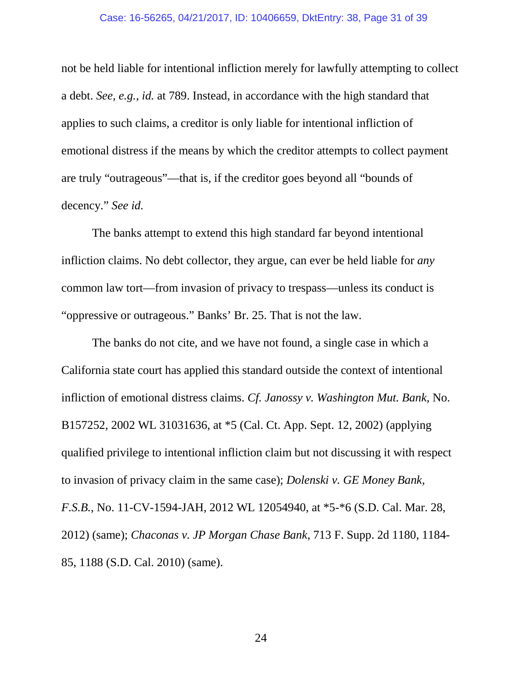<span id="page-30-0"></span>not be held liable for intentional infliction merely for lawfully attempting to collect a debt. *See, e.g.*, *id.* at 789. Instead, in accordance with the high standard that applies to such claims, a creditor is only liable for intentional infliction of emotional distress if the means by which the creditor attempts to collect payment are truly "outrageous"—that is, if the creditor goes beyond all "bounds of decency." *See id.*

The banks attempt to extend this high standard far beyond intentional infliction claims. No debt collector, they argue, can ever be held liable for *any*  common law tort—from invasion of privacy to trespass—unless its conduct is "oppressive or outrageous." Banks' Br. 25. That is not the law.

<span id="page-30-3"></span><span id="page-30-2"></span><span id="page-30-1"></span>The banks do not cite, and we have not found, a single case in which a California state court has applied this standard outside the context of intentional infliction of emotional distress claims. *Cf. Janossy v. Washington Mut. Bank*, No. B157252, 2002 WL 31031636, at \*5 (Cal. Ct. App. Sept. 12, 2002) (applying qualified privilege to intentional infliction claim but not discussing it with respect to invasion of privacy claim in the same case); *Dolenski v. GE Money Bank, F.S.B.*, No. 11-CV-1594-JAH, 2012 WL 12054940, at \*5-\*6 (S.D. Cal. Mar. 28, 2012) (same); *Chaconas v. JP Morgan Chase Bank*, 713 F. Supp. 2d 1180, 1184- 85, 1188 (S.D. Cal. 2010) (same).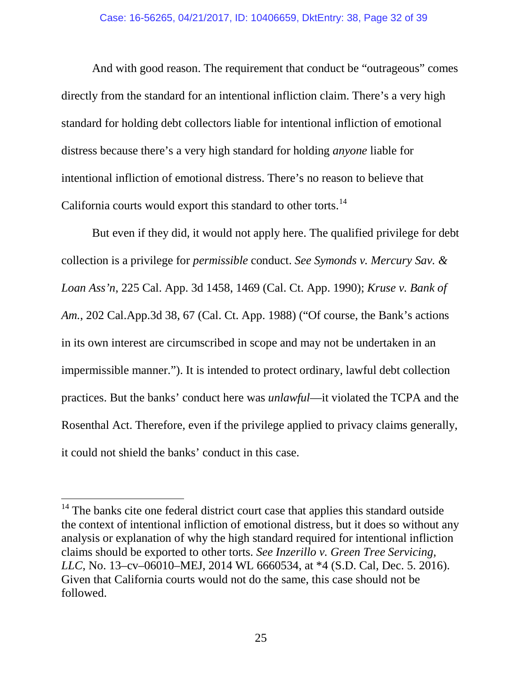And with good reason. The requirement that conduct be "outrageous" comes directly from the standard for an intentional infliction claim. There's a very high standard for holding debt collectors liable for intentional infliction of emotional distress because there's a very high standard for holding *anyone* liable for intentional infliction of emotional distress. There's no reason to believe that California courts would export this standard to other torts.<sup>[14](#page-31-3)</sup>

<span id="page-31-2"></span><span id="page-31-1"></span>But even if they did, it would not apply here. The qualified privilege for debt collection is a privilege for *permissible* conduct. *See Symonds v. Mercury Sav. & Loan Ass'n*, 225 Cal. App. 3d 1458, 1469 (Cal. Ct. App. 1990); *Kruse v. Bank of Am.*, 202 Cal.App.3d 38, 67 (Cal. Ct. App. 1988) ("Of course, the Bank's actions in its own interest are circumscribed in scope and may not be undertaken in an impermissible manner."). It is intended to protect ordinary, lawful debt collection practices. But the banks' conduct here was *unlawful*—it violated the TCPA and the Rosenthal Act. Therefore, even if the privilege applied to privacy claims generally, it could not shield the banks' conduct in this case.

<span id="page-31-3"></span><span id="page-31-0"></span><sup>&</sup>lt;sup>14</sup> The banks cite one federal district court case that applies this standard outside the context of intentional infliction of emotional distress, but it does so without any analysis or explanation of why the high standard required for intentional infliction claims should be exported to other torts. *See Inzerillo v. Green Tree Servicing, LLC*, No. 13–cv–06010–MEJ, 2014 WL 6660534, at \*4 (S.D. Cal, Dec. 5. 2016). Given that California courts would not do the same, this case should not be followed.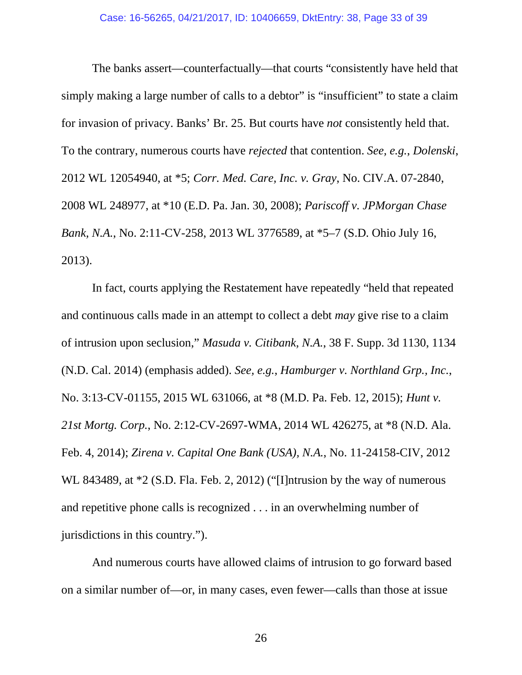<span id="page-32-1"></span><span id="page-32-0"></span>The banks assert—counterfactually—that courts "consistently have held that simply making a large number of calls to a debtor" is "insufficient" to state a claim for invasion of privacy. Banks' Br. 25. But courts have *not* consistently held that. To the contrary, numerous courts have *rejected* that contention. *See, e.g.*, *Dolenski*, 2012 WL 12054940, at \*5; *Corr. Med. Care, Inc. v. Gray*, No. CIV.A. 07-2840, 2008 WL 248977, at \*10 (E.D. Pa. Jan. 30, 2008); *Pariscoff v. JPMorgan Chase Bank, N.A.*, No. 2:11-CV-258, 2013 WL 3776589, at \*5–7 (S.D. Ohio July 16, 2013).

<span id="page-32-5"></span><span id="page-32-4"></span><span id="page-32-3"></span><span id="page-32-2"></span>In fact, courts applying the Restatement have repeatedly "held that repeated and continuous calls made in an attempt to collect a debt *may* give rise to a claim of intrusion upon seclusion," *Masuda v. Citibank, N.A.*, 38 F. Supp. 3d 1130, 1134 (N.D. Cal. 2014) (emphasis added). *See, e.g.*, *Hamburger v. Northland Grp., Inc.*, No. 3:13-CV-01155, 2015 WL 631066, at \*8 (M.D. Pa. Feb. 12, 2015); *Hunt v. 21st Mortg. Corp.*, No. 2:12-CV-2697-WMA, 2014 WL 426275, at \*8 (N.D. Ala. Feb. 4, 2014); *Zirena v. Capital One Bank (USA), N.A.*, No. 11-24158-CIV, 2012 WL 843489, at  $*2$  (S.D. Fla. Feb. 2, 2012) ("Ilntrusion by the way of numerous and repetitive phone calls is recognized . . . in an overwhelming number of jurisdictions in this country.").

<span id="page-32-6"></span>And numerous courts have allowed claims of intrusion to go forward based on a similar number of—or, in many cases, even fewer—calls than those at issue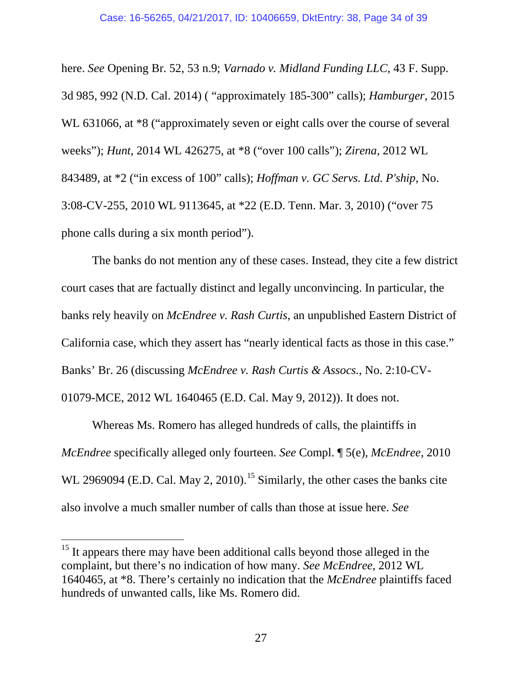<span id="page-33-5"></span><span id="page-33-4"></span><span id="page-33-2"></span><span id="page-33-0"></span>here. *See* Opening Br. 52, 53 n.9; *Varnado v. Midland Funding LLC*, 43 F. Supp. 3d 985, 992 (N.D. Cal. 2014) ( "approximately 185-300" calls); *Hamburger*, 2015 WL 631066, at  $*8$  ("approximately seven or eight calls over the course of several weeks"); *Hunt*, 2014 WL 426275, at \*8 ("over 100 calls"); *Zirena*, 2012 WL 843489, at \*2 ("in excess of 100" calls); *Hoffman v. GC Servs. Ltd. P'ship*, No. 3:08-CV-255, 2010 WL 9113645, at \*22 (E.D. Tenn. Mar. 3, 2010) ("over 75 phone calls during a six month period").

<span id="page-33-3"></span><span id="page-33-1"></span>The banks do not mention any of these cases. Instead, they cite a few district court cases that are factually distinct and legally unconvincing. In particular, the banks rely heavily on *McEndree v. Rash Curtis*, an unpublished Eastern District of California case, which they assert has "nearly identical facts as those in this case." Banks' Br. 26 (discussing *McEndree v. Rash Curtis & Assocs.*, No. 2:10-CV-01079-MCE, 2012 WL 1640465 (E.D. Cal. May 9, 2012)). It does not.

Whereas Ms. Romero has alleged hundreds of calls, the plaintiffs in *McEndree* specifically alleged only fourteen. *See* Compl. ¶ 5(e), *McEndree*, 2010 WL 2969094 (E.D. Cal. May 2, 2010).<sup>[15](#page-33-6)</sup> Similarly, the other cases the banks cite also involve a much smaller number of calls than those at issue here. *See* 

<span id="page-33-6"></span><sup>&</sup>lt;sup>15</sup> It appears there may have been additional calls beyond those alleged in the complaint, but there's no indication of how many. *See McEndree*, 2012 WL 1640465, at \*8. There's certainly no indication that the *McEndree* plaintiffs faced hundreds of unwanted calls, like Ms. Romero did.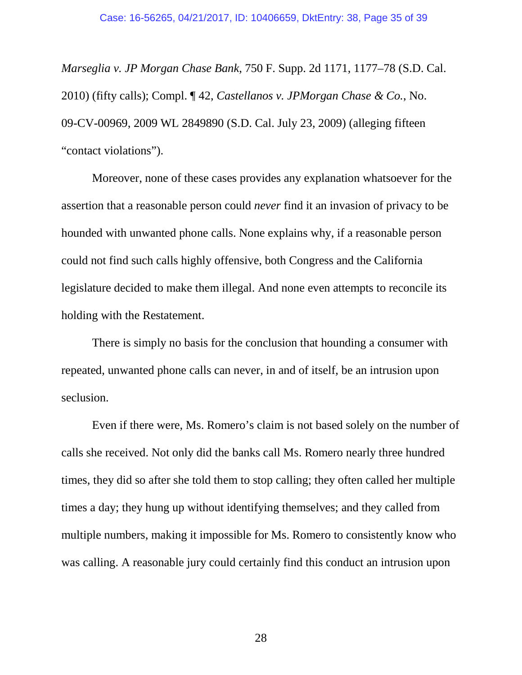<span id="page-34-1"></span><span id="page-34-0"></span>*Marseglia v. JP Morgan Chase Bank*, 750 F. Supp. 2d 1171, 1177–78 (S.D. Cal. 2010) (fifty calls); Compl. ¶ 42, *Castellanos v. JPMorgan Chase & Co.*, No. 09-CV-00969, 2009 WL 2849890 (S.D. Cal. July 23, 2009) (alleging fifteen "contact violations").

Moreover, none of these cases provides any explanation whatsoever for the assertion that a reasonable person could *never* find it an invasion of privacy to be hounded with unwanted phone calls. None explains why, if a reasonable person could not find such calls highly offensive, both Congress and the California legislature decided to make them illegal. And none even attempts to reconcile its holding with the Restatement.

There is simply no basis for the conclusion that hounding a consumer with repeated, unwanted phone calls can never, in and of itself, be an intrusion upon seclusion.

Even if there were, Ms. Romero's claim is not based solely on the number of calls she received. Not only did the banks call Ms. Romero nearly three hundred times, they did so after she told them to stop calling; they often called her multiple times a day; they hung up without identifying themselves; and they called from multiple numbers, making it impossible for Ms. Romero to consistently know who was calling. A reasonable jury could certainly find this conduct an intrusion upon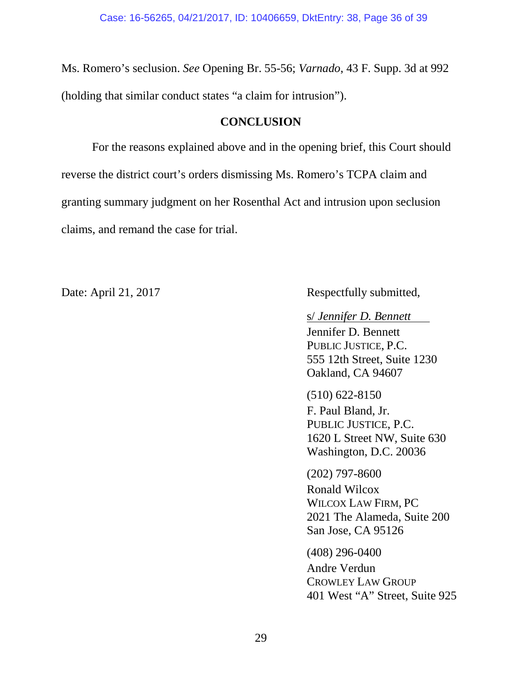Ms. Romero's seclusion. *See* Opening Br. 55-56; *Varnado*, 43 F. Supp. 3d at 992 (holding that similar conduct states "a claim for intrusion").

## <span id="page-35-1"></span>**CONCLUSION**

<span id="page-35-0"></span>For the reasons explained above and in the opening brief, this Court should reverse the district court's orders dismissing Ms. Romero's TCPA claim and granting summary judgment on her Rosenthal Act and intrusion upon seclusion claims, and remand the case for trial.

Date: April 21, 2017 Respectfully submitted,

s/ *Jennifer D. Bennett* Jennifer D. Bennett PUBLIC JUSTICE, P.C. 555 12th Street, Suite 1230 Oakland, CA 94607

(510) 622-8150 F. Paul Bland, Jr. PUBLIC JUSTICE, P.C. 1620 L Street NW, Suite 630 Washington, D.C. 20036

(202) 797-8600 Ronald Wilcox WILCOX LAW FIRM, PC 2021 The Alameda, Suite 200 San Jose, CA 95126

(408) 296-0400 Andre Verdun CROWLEY LAW GROUP 401 West "A" Street, Suite 925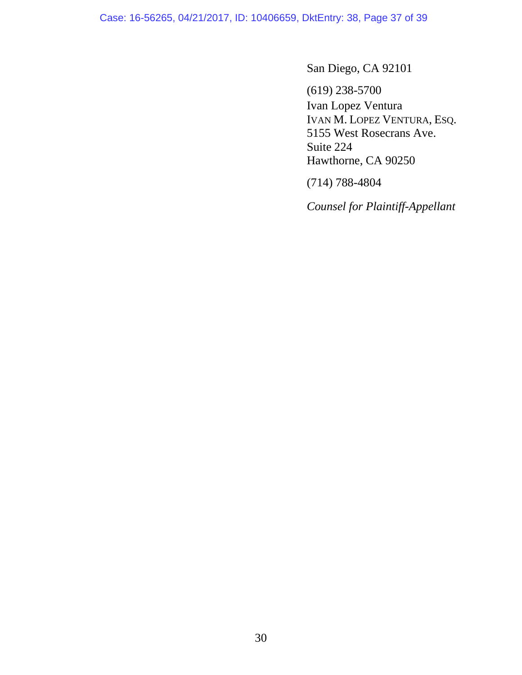Case: 16-56265, 04/21/2017, ID: 10406659, DktEntry: 38, Page 37 of 39

San Diego, CA 92101

(619) 238-5700 Ivan Lopez Ventura IVAN M. LOPEZ VENTURA, ESQ. 5155 West Rosecrans Ave. Suite 224 Hawthorne, CA 90250

(714) 788-4804

*Counsel for Plaintiff-Appellant*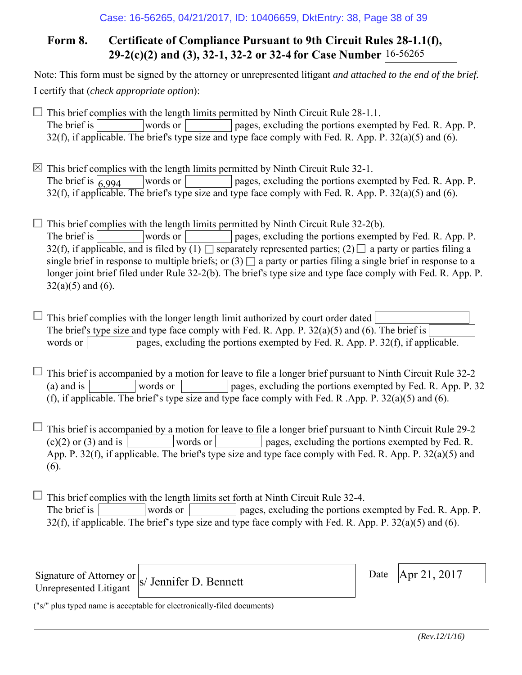# **Form 8. Certificate of Compliance Pursuant to 9th Circuit Rules 28-1.1(f), 29-2(c)(2) and (3), 32-1, 32-2 or 32-4 for Case Number** 16-56265

Note: This form must be signed by the attorney or unrepresented litigant *and attached to the end of the brief.* I certify that (*check appropriate option*):

 $\Box$  This brief complies with the length limits permitted by Ninth Circuit Rule 28-1.1. The brief is words or pages, excluding the portions exempted by Fed. R. App. P. 32(f), if applicable. The brief's type size and type face comply with Fed. R. App. P.  $32(a)(5)$  and (6).

 $\boxtimes$  This brief complies with the length limits permitted by Ninth Circuit Rule 32-1. words or pages, excluding the portions exempted by Fed. R. App. P.  $32(f)$ , if applicable. The brief's type size and type face comply with Fed. R. App. P.  $32(a)(5)$  and (6). The brief is  $\sqrt{6.994}$ 

 $\Box$  This brief complies with the length limits permitted by Ninth Circuit Rule 32-2(b). The brief is words or pages, excluding the portions exempted by Fed. R. App. P. 32(f), if applicable, and is filed by  $(1)$  separately represented parties;  $(2)$  a party or parties filing a single brief in response to multiple briefs; or  $(3)$  a party or parties filing a single brief in response to a longer joint brief filed under Rule 32-2(b). The brief's type size and type face comply with Fed. R. App. P.  $32(a)(5)$  and  $(6)$ .

 $\Box$  This brief complies with the longer length limit authorized by court order dated The brief's type size and type face comply with Fed. R. App. P. 32(a)(5) and (6). The brief is words or  $\Box$  pages, excluding the portions exempted by Fed. R. App. P. 32(f), if applicable.

 $\Box$  This brief is accompanied by a motion for leave to file a longer brief pursuant to Ninth Circuit Rule 32-2 (a) and is words or pages, excluding the portions exempted by Fed. R. App. P. 32 (f), if applicable. The brief's type size and type face comply with Fed. R .App. P. 32(a)(5) and (6).

 $\Box$  This brief is accompanied by a motion for leave to file a longer brief pursuant to Ninth Circuit Rule 29-2  $(c)(2)$  or (3) and is words or words or pages, excluding the portions exempted by Fed. R. App. P. 32(f), if applicable. The brief's type size and type face comply with Fed. R. App. P. 32(a)(5) and (6).

 $\Box$  This brief complies with the length limits set forth at Ninth Circuit Rule 32-4. The brief is words or pages, excluding the portions exempted by Fed. R. App. P. 32(f), if applicable. The brief's type size and type face comply with Fed. R. App. P. 32(a)(5) and (6).

Signature of Attorney or Unrepresented Litigant

s/ Jennifer D. Bennett Date  $\left[\n\begin{array}{cc}\n\text{Date} & \text{Apr 21, 2017} \\
\text{Date} & \text{Apr 21, 2017}\n\end{array}\n\right]$ 

Date

("s/" plus typed name is acceptable for electronically-filed documents)